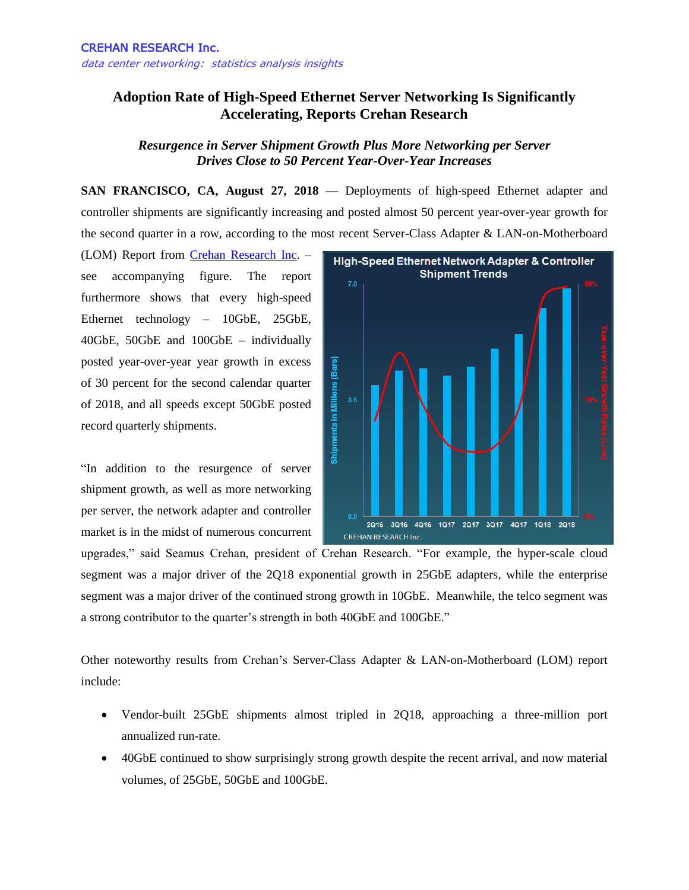## **Adoption Rate of High-Speed Ethernet Server Networking Is Significantly Accelerating, Reports Crehan Research**

## *Resurgence in Server Shipment Growth Plus More Networking per Server Drives Close to 50 Percent Year-Over-Year Increases*

**SAN FRANCISCO, CA, August 27, 2018 —** Deployments of high-speed Ethernet adapter and controller shipments are significantly increasing and posted almost 50 percent year-over-year growth for the second quarter in a row, according to the most recent Server-Class Adapter & LAN-on-Motherboard

(LOM) Report from [Crehan Research Inc.](http://www.crehanresearch.com/) – see accompanying figure. The report furthermore shows that every high-speed Ethernet technology – 10GbE, 25GbE, 40GbE, 50GbE and 100GbE – individually posted year-over-year year growth in excess of 30 percent for the second calendar quarter of 2018, and all speeds except 50GbE posted record quarterly shipments.

"In addition to the resurgence of server shipment growth, as well as more networking per server, the network adapter and controller market is in the midst of numerous concurrent



upgrades," said Seamus Crehan, president of Crehan Research. "For example, the hyper-scale cloud segment was a major driver of the 2Q18 exponential growth in 25GbE adapters, while the enterprise segment was a major driver of the continued strong growth in 10GbE. Meanwhile, the telco segment was a strong contributor to the quarter's strength in both 40GbE and 100GbE."

Other noteworthy results from Crehan's Server-Class Adapter & LAN-on-Motherboard (LOM) report include:

- Vendor-built 25GbE shipments almost tripled in 2Q18, approaching a three-million port annualized run-rate.
- 40GbE continued to show surprisingly strong growth despite the recent arrival, and now material volumes, of 25GbE, 50GbE and 100GbE.